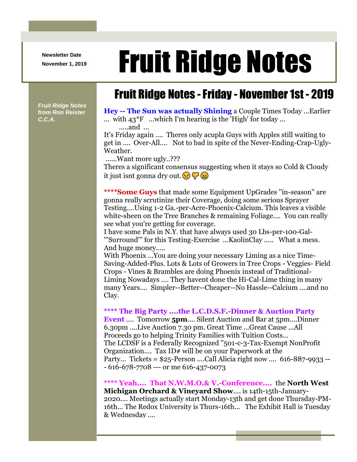**Newsletter Date**

# Newsletter Date **Fruit Ridge Notes**

## Fruit Ridge Notes -Friday - November 1st - 2019

*Fruit Ridge Notes from Ron Reister C.C.A.*

**Hey -- The Sun was actually Shining** a Couple Times Today ...Earlier ... with  $43*$ F ...which I'm hearing is the 'High' for today ... .....and ...

It's Friday again .... Theres only acupla Guys with Apples still waiting to get in .... Over-All.... Not to bad in spite of the Never-Ending-Crap-Ugly-Weather.

......Want more ugly..???

Theres a significant consensus suggesting when it stays so Cold & Cloudy it just isnt gonna dry out.  $\left( \cdot \right) \nabla \left( \cdot \right)$ 

**\*\*\*\*Some Guys** that made some Equipment UpGrades ''in-season'' are gonna really scrutinize their Coverage, doing some serious Sprayer Testing....Using 1-2 Ga.-per-Acre-Phoenix-Calcium. This leaves a visible white-sheen on the Tree Branches & remaining Foliage.... You can really see what you're getting for coverage.

I have some Pals in N.Y. that have always used 30 Lbs-per-100-Gal- '''Surround''' for this Testing-Exercise ...KaolinClay ..... What a mess. And huge money.....

With Phoenix ...You are doing your necessary Liming as a nice Time-Saving-Added-Plus. Lots & Lots of Growers in Tree Crops - Veggies- Field Crops - Vines & Brambles are doing Phoenix instead of Traditional-Liming Nowadays .... They havent done the Hi-Cal-Lime thing in many many Years.... Simpler--Better--Cheaper--No Hassle--Calcium ....and no Clay.

#### **\*\*\*\* The Big Party ....the L.C.D.S.F.-Dinner & Auction Party**

**Event** .... Tomorrow **5pm....** Silent Auction and Bar at 5pm....Dinner 6.30pm ....Live Auction 7.30 pm. Great Time ...Great Cause ...All Proceeds go to helping Trinity Families with Tuition Costs... The LCDSF is a Federally Recognized ''501-c-3-Tax-Exempt NonProfit Organization.... Tax ID# will be on your Paperwork at the Party... Tickets = \$25-Person ....Call Alicia right now .... 616-887-9933 -- - 616-678-7708 --- or me 616-437-0073

**\*\*\*\* Yeah.... That N.W.M.O.& V.-Conference....** the **North West Michigan Orchard & Vineyard Show**.... is 14th-15th-January-2020.... Meetings actually start Monday-13th and get done Thursday-PM-16th... The Redox University is Thurs-16th... The Exhibit Hall is Tuesday & Wednesday ....